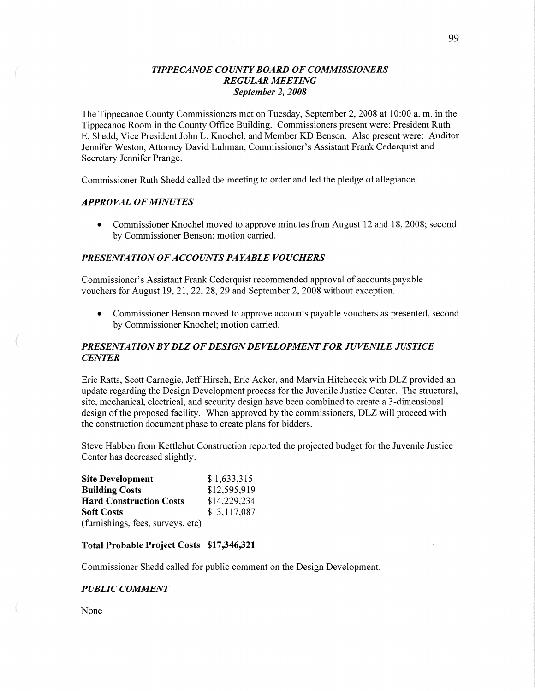## *T IPPECANOE COUNTY BOARD* OF *COMMISSIONERS REGULAR MEETING September* 2, *2008*

The Tippecanoe County Commissioners met on Tuesday, September 2, 2008 at 10:00 a. m. in the Tippecanoe Room in the County Office Building. Commissioners present were: President Ruth B. Shedd, Vice President John L. Knochel, and Member KD Benson. Also present were: Auditor Jennifer Weston, Attorney David Luhman, Commissioner's Assistant Frank Cederquist and Secretary Jennifer Prange.

Commissioner Ruth Shedd called the meeting to order and led the pledge of allegiance.

## *APPROVAL* OF *MINUTES*

• Commissioner Knochel moved to approve minutes from August 12 and 18, 2008; second by Commissioner Benson; motion carried.

#### *PRESENTA T* ION 0F *ACCOUNT S PAYABLE VOUCHERS*

Commissioner's Assistant Frank Cederquist recommended approval of accounts payable vouchers for August 19, 21, 22, 28, 29 and September 2, 2008 without exception.

**0** Commissioner Benson moved to approve accounts payable vouchers as presented, second by Commissioner Knochel; motion carried.

# *PRESEN* TA *T I* 0N BY DLZ 0F *DESIGN* DE *VELOPMENT* FOR *JUVENILE JUSTICE CENTER*

Eric Ratts, Scott Carnegie, Jeff Hirsch, Eric Acker, and Marvin Hitchcock with DLZ provided an update regarding the Design Development process for the Juvenile Justice Center. The stmctural, site, mechanical, electrical, and security design have been combined to create a 3-dimensional design of the proposed facility. When approved by the commissioners, DLZ will proceed with the construction document phase to create plans for bidders.

Steve Habben from Kettlehut Construction reported the projected budget for the Juvenile Justice Center has decreased slightly.

| <b>Site Development</b>           | \$1,633,315  |
|-----------------------------------|--------------|
| <b>Building Costs</b>             | \$12,595,919 |
| <b>Hard Construction Costs</b>    | \$14,229,234 |
| <b>Soft Costs</b>                 | \$3,117,087  |
| (furnishings, fees, surveys, etc) |              |

#### **Total Probable Project Costs \$17,346,321**

Commissioner Shedd called for public comment on the Design Development.

## *PUBLIC COMMENT*

None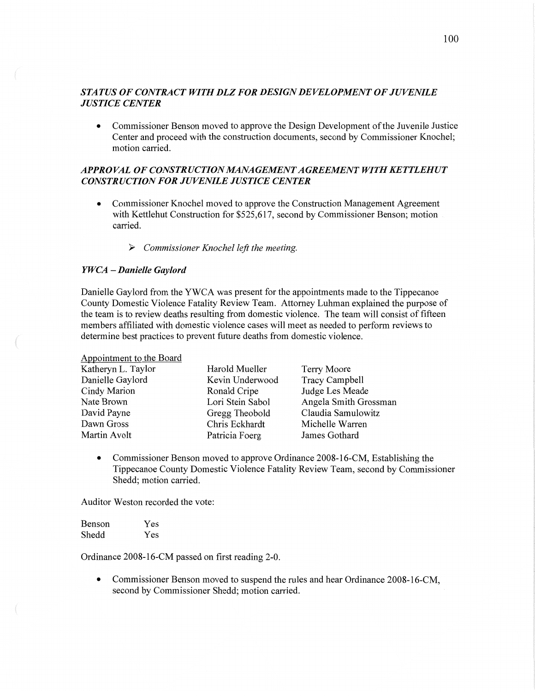# *STATUS* OF *CONTRACT WIIH* DLZ FOR *DESIGN* DE *VELOPMENT* 0F *JUVENILE JUSTICE CENTER*

**0** Commissioner Benson moved to approve the Design Development of the Juvenile Justice Center and proceed with the construction documents, second by Commissioner Knochel; motion carried.

# *APPROVAL* OF *CONSTRUCTION IMANAGEMENT AGREEMENT WITH* KET *TLEHUT CONSTRUCTION* FOR *JUVENILE JUSTICE CENTER*

- **0** Commissioner Knochel moved to approve the Construction Management Agreement with Kettlehut Construction for \$525,617, second by Commissioner Benson; **motion** *,*  carried.
	- <sup>&</sup>gt;*Commissioner Knochel lefi'* the *meeting.*

## *YWCA -Danielle Gaylord*

Appointment to the Board

Danielle Gaylord from the YWCA was present for the appointments made to the Tippecanoe County Domestic Violence Fatality Review Team. Attorney Luhman explained the purpose of the **team** is to review deaths resulting from domestic violence. The team will consist of fifteen members affiliated with domestic violence cases will meet as needed to perform reviews to determine best practices to prevent future deaths from domestic violence.

| Appointment to the Doard |                  |                       |
|--------------------------|------------------|-----------------------|
| Katheryn L. Taylor       | Harold Mueller   | Terry Moore           |
| Danielle Gaylord         | Kevin Underwood  | Tracy Campbell        |
| Cindy Marion             | Ronald Cripe     | Judge Les Meade       |
| Nate Brown               | Lori Stein Sabol | Angela Smith Grossman |
| David Payne              | Gregg Theobold   | Claudia Samulowitz    |
| Dawn Gross               | Chris Eckhardt   | Michelle Warren       |
| Martin Avolt             | Patricia Foerg   | James Gothard         |
|                          |                  |                       |

**0** Commissioner Benson moved to approve Ordinance 2008-16-CM, Establishing the Tippecanoe County Domestic Violence Fatality Review Team, second by Commissioner Shedd; motion carried.

Auditor Weston recorded the vote:

| <b>Benson</b> | Yes |
|---------------|-----|
| Shedd         | Yes |

Ordinance 2008-16-CM passed on first reading 2—0.

**0** Commissioner Benson moved to **suspend** the rules and hear Ordinance 2008-16-CM, second by Commissioner Shedd; motion carried.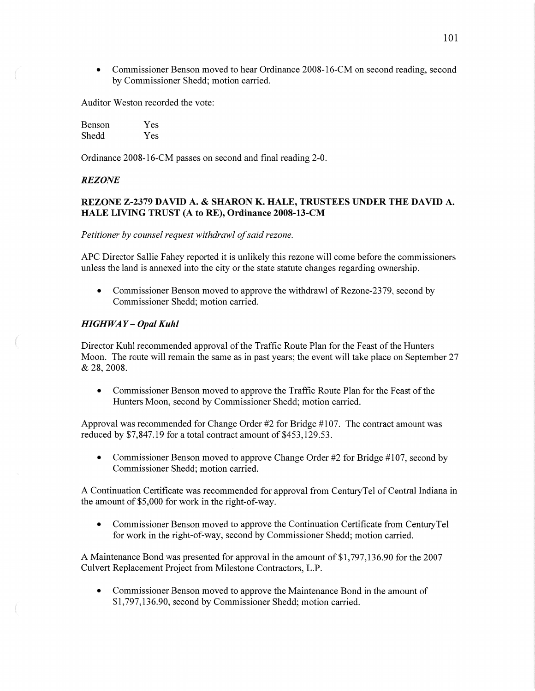**0** Commissioner Benson moved to hear Ordinance 2008-16-CM on second reading, second by Commissioner Shedd; motion carried.

Auditor Weston recorded the vote:

| Benson | Yes |
|--------|-----|
| Shedd  | Yes |

Ordinance 2008-16-CM passes on second and final reading 2-0.

## *REZONE*

# **REZONE Z-2379 DAVID** A. **& SHARON** K. **HALE, TRUSTEES UNDER** THE **DAVID** A. **HALE LIVING TRUST** (A to **RE), Ordinance 2008—13-CM**

## *Petitioner* by *counsel request withdraw]* of *said rezone.*

APC Director Sallie Fahey reported it is unlikely this rezone will come before the commissioners unless the land is annexed into the city or the state statute changes regarding ownership.

• Commissioner Benson moved to approve the withdrawl of Rezone-2379, second by Commissioner Shedd; motion carried.

## *HIGHWAY* **—** *Opal Kuhl*

Director Kuhl recommended approval of the Traffic Route Plan for the Feast of the Hunters Moon. The route will remain the same as in past years; the event will take place on September 27 & 28, 2008.

**0** Commissioner Benson moved to approve the Traffic Route Plan for the Feast of the Hunters Moon, second by Commissioner Shedd; motion carried.

Approval was recommended for **Change** Order #2 for Bridge #107. The contract amount was reduced by \$7,847.19 for a total contract amount of \$453,129.53.

• Commissioner Benson moved to approve Change Order #2 for Bridge #107, second by Commissioner Shedd; motion carried.

**A** Continuation Certificate was recommended for approval from CenturyTel of Central Indiana in the amount of \$5,000 for work in the right-of-Way.

**0** Commissioner Benson moved to approve the Continuation Certificate from CenturyTel for work in the right-of-way, second by Commissioner Shedd; motion carried.

**A** Maintenance Bond was presented for approval in the **amount** of \$1,797,136.90 for the 2007 Culvert Replacement Project from Milestone Contractors, **LP.** 

**0** Commissioner Benson moved to approve the Maintenance Bond in the amount of \$1,797,136.90, second by Commissioner Shedd; motion carried.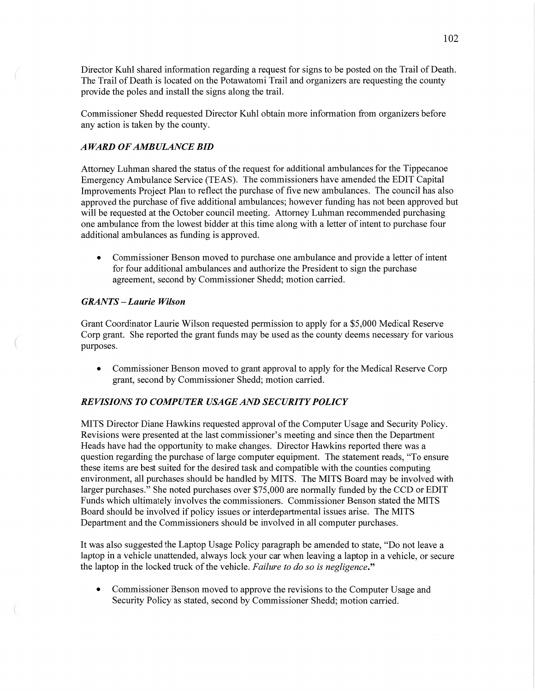Director Kuhl shared information regarding **a** request for signs to be posted on the Trail of Death. The Trail of Death is located on the Potawatomi Trail and organizers are requesting the county provide the poles and install the signs along the trail.

Commissioner Shedd requested Director Kuhl obtain more information from organizers before any action is taken by the county.

## *AWARD* 0F AMB *ULANCE* BID

Attorney Luhman shared the status of the request for additional ambulances for the Tippecanoe Emergency Ambulance Service (TEAS). The commissioners have amended the EDIT Capital Improvements Project Plan to reflect the purchase of five new ambulances. The council has also approved the purchase of five additional ambulances; however funding has not been approved but will be requested at the October council meeting. Attorney Luhman recommended purchasing one ambulance from the lowest bidder at this time along with a letter of intent to purchase four additional ambulances as funding is approved.

**0** Commissioner Benson moved to purchase one ambulance and provide a letter of intent for four additional ambulances and authorize the President to sign the purchase agreement, second by Commissioner Shedd; motion carried.

## $GRANTS - Laurie Wilson$

 $\mathbb{R}$ 

Grant Coordinator Laurie Wilson requested permission to apply for a \$5,000 Medical Reserve Corp grant. She reported the grant funds may be used as the county deems necessary for various purposes.

**0** Commissioner Benson moved to grant approval to apply for the Medical Reserve Corp grant, second by Commissioner Shedd; motion carried.

# *REVISIONS T 0 COMPUTER USAGE* AND *SECURITY POLICY*

**MITS** Director Diane Hawkins requested approval of the Computer Usage and Security Policy. Revisions were presented at the last commissioner's meeting and since then the Department Heads **have** had the opportunity to make changes. Director Hawkins reported there was a question regarding the purchase of large computer equipment. The statement reads, "To ensure these items are best suited for the desired task and compatible with the counties computing environment, all purchases should be handled by MITS. The **MITS** Board may be involved with larger purchases." She noted purchases over \$75,000 are normally funded by the CCD or EDIT Funds which ultimately involves the commissioners. Commissioner Benson stated the **MITS**  Board should be involved if policy issues or interdepartmental issues arise. The **MITS**  Department and the Commissioners should be involved in all computer purchases.

It was also suggested the Laptop Usage Policy paragraph be amended to state, "Do not leave a laptop in a vehicle unattended, always lock your car when leaving a laptop in a vehicle, or secure the laptop in the locked truck of the vehicle. *Failure* to do so is *negligence."* 

• Commissioner Benson moved to approve the revisions to the Computer Usage and Security Policy as stated, second by Commissioner Shedd; motion carried.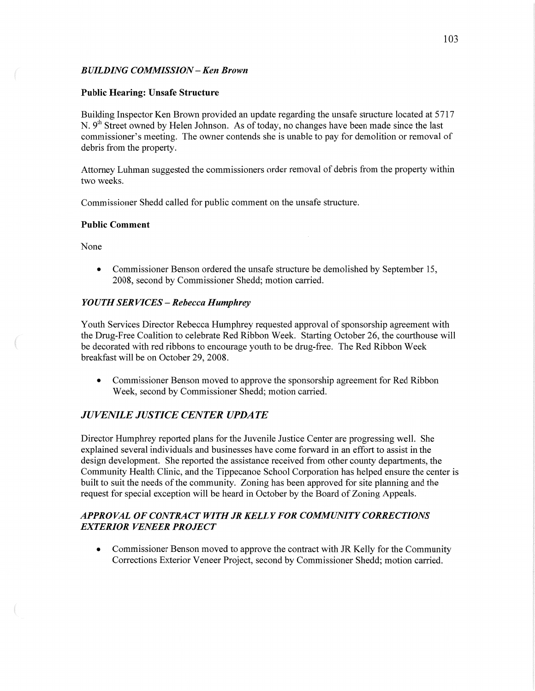# *BUILDING COMMISSION* **-** Ken *Brown*

## **Public Hearing: Unsafe Structure**

Building Inspector Ken Brown provided an update regarding the unsafe structure located at 5717 N. 9<sup>th</sup> Street owned by Helen Johnson. As of today, no changes have been made since the last commissioner's meeting. The owner contends she is unable to pay for demolition or removal of debris from the property.

Attorney **Luhman** suggested the commissioners order removal of debris from the property within two weeks.

Commissioner Shedd called for public comment on the unsafe structure.

#### **Public Comment**

None

 $\sqrt{2}$ 

*0* Commissioner Benson ordered the unsafe structure be demolished by September 15, 2008, second by Commissioner Shedd; motion carried.

## *Y* OUT *H* SER VI CES — *Rebecca Humphrey*

Youth Services Director Rebecca Humphrey requested approval of sponsorship agreement with the Drug-Free Coalition to celebrate Red Ribbon Week. Starting October 26, the courthouse will be decorated with red ribbons to encourage youth to be drug-free. The Red Ribbon Week breakfast will be on October 29, 2008.

**0** Commissioner Benson moved to approve the sponsorship agreement for Red Ribbon Week, second by Commissioner Shedd; motion carried.

# *JUVENILE JUSTICE CENTER UPDATE*

Director Humphrey reported plans for the Juvenile Justice Center are progressing well. She explained several individuals and businesses have come forward in an effort to assist in the design development. She reported the assistance received from other county departments, the Community Health Clinic, and the Tippecanoe School Corporation has helped ensure the center is built to suit the needs of the community. Zoning has been approved for site planning and the request for special exception will be heard in October by the Board of Zoning Appeals.

# *APPROVAL* OF *CONTRACT WITHJR KELLYFOR COMMUNITY CORRECTIONS EXTERIOR VENEER PROJECT*

• Commissioner Benson moved to approve the contract with JR Kelly for the Community Corrections Exterior Veneer Project, second by Commissioner Shedd; motion carried.